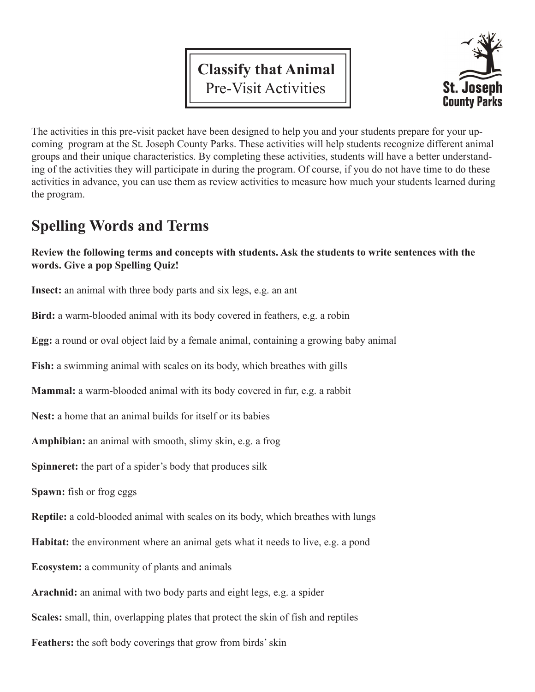# **Classify that Animal** Pre-Visit Activities



The activities in this pre-visit packet have been designed to help you and your students prepare for your upcoming program at the St. Joseph County Parks. These activities will help students recognize different animal groups and their unique characteristics. By completing these activities, students will have a better understanding of the activities they will participate in during the program. Of course, if you do not have time to do these activities in advance, you can use them as review activities to measure how much your students learned during the program.

## **Spelling Words and Terms**

#### **Review the following terms and concepts with students. Ask the students to write sentences with the words. Give a pop Spelling Quiz!**

**Insect:** an animal with three body parts and six legs, e.g. an ant

**Bird:** a warm-blooded animal with its body covered in feathers, e.g. a robin

**Egg:** a round or oval object laid by a female animal, containing a growing baby animal

**Fish:** a swimming animal with scales on its body, which breathes with gills

**Mammal:** a warm-blooded animal with its body covered in fur, e.g. a rabbit

**Nest:** a home that an animal builds for itself or its babies

**Amphibian:** an animal with smooth, slimy skin, e.g. a frog

**Spinneret:** the part of a spider's body that produces silk

**Spawn:** fish or frog eggs

**Reptile:** a cold-blooded animal with scales on its body, which breathes with lungs

**Habitat:** the environment where an animal gets what it needs to live, e.g. a pond

**Ecosystem:** a community of plants and animals

**Arachnid:** an animal with two body parts and eight legs, e.g. a spider

**Scales:** small, thin, overlapping plates that protect the skin of fish and reptiles

**Feathers:** the soft body coverings that grow from birds' skin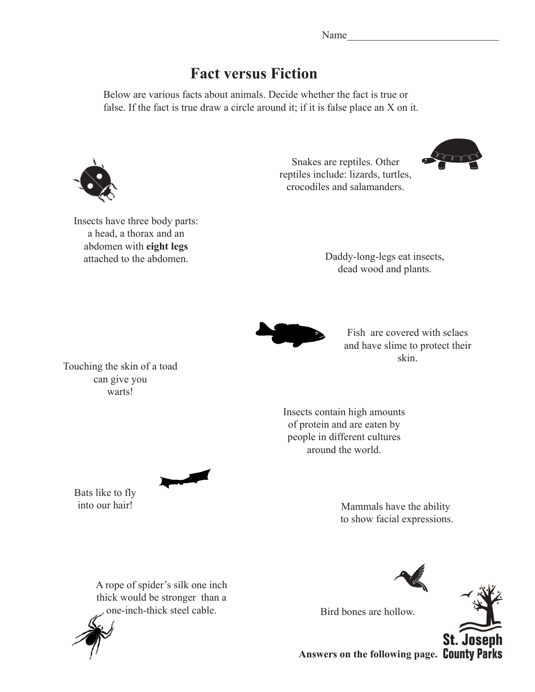### **Fact versus Fiction**

Below are various facts about animals. Decide whether the fact is true or false. If the fact is true draw a circle around it; if it is false place an X on it.



Insects have three body parts: a head, a thorax and an abdomen with **eight legs**

Snakes are reptiles. Other reptiles include: lizards, turtles, crocodiles and salamanders.



attached to the abdomen. Daddy-long-legs eat insects, dead wood and plants.



Fish are covered with sclaes and have slime to protect their skin.

Touching the skin of a toad can give you warts!

> Insects contain high amounts of protein and are eaten by people in different cultures around the world.

Bats like to fly

into our hair! Mammals have the ability to show facial expressions.

A rope of spider's silk one inch thick would be stronger than a one-inch-thick steel cable. Bird bones are hollow.







**Answers on the following page.**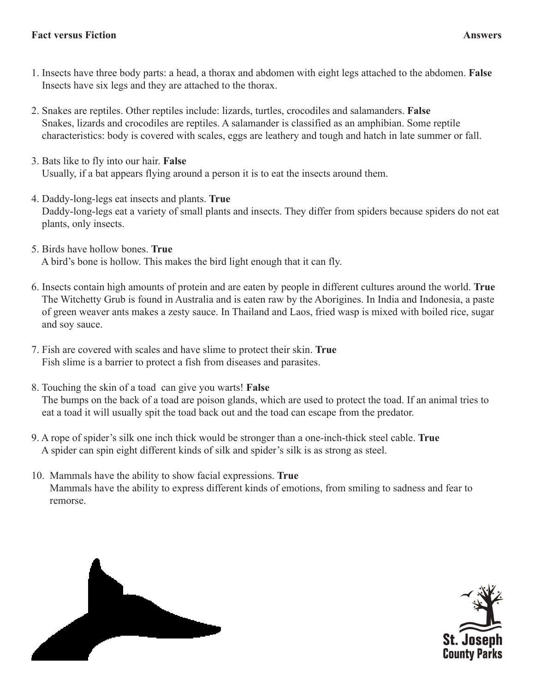- 1. Insects have three body parts: a head, a thorax and abdomen with eight legs attached to the abdomen. **False** Insects have six legs and they are attached to the thorax.
- 2. Snakes are reptiles. Other reptiles include: lizards, turtles, crocodiles and salamanders. **False** Snakes, lizards and crocodiles are reptiles. A salamander is classified as an amphibian. Some reptile characteristics: body is covered with scales, eggs are leathery and tough and hatch in late summer or fall.
- 3. Bats like to fly into our hair. **False** Usually, if a bat appears flying around a person it is to eat the insects around them.
- 4. Daddy-long-legs eat insects and plants. **True** Daddy-long-legs eat a variety of small plants and insects. They differ from spiders because spiders do not eat plants, only insects.
- 5. Birds have hollow bones. **True** A bird's bone is hollow. This makes the bird light enough that it can fly.
- 6. Insects contain high amounts of protein and are eaten by people in different cultures around the world. **True** The Witchetty Grub is found in Australia and is eaten raw by the Aborigines. In India and Indonesia, a paste of green weaver ants makes a zesty sauce. In Thailand and Laos, fried wasp is mixed with boiled rice, sugar and soy sauce.
- 7. Fish are covered with scales and have slime to protect their skin. **True** Fish slime is a barrier to protect a fish from diseases and parasites.
- 8. Touching the skin of a toad can give you warts! **False** The bumps on the back of a toad are poison glands, which are used to protect the toad. If an animal tries to eat a toad it will usually spit the toad back out and the toad can escape from the predator.
- 9. A rope of spider's silk one inch thick would be stronger than a one-inch-thick steel cable. **True** A spider can spin eight different kinds of silk and spider's silk is as strong as steel.
- 10. Mammals have the ability to show facial expressions. **True** Mammals have the ability to express different kinds of emotions, from smiling to sadness and fear to remorse.



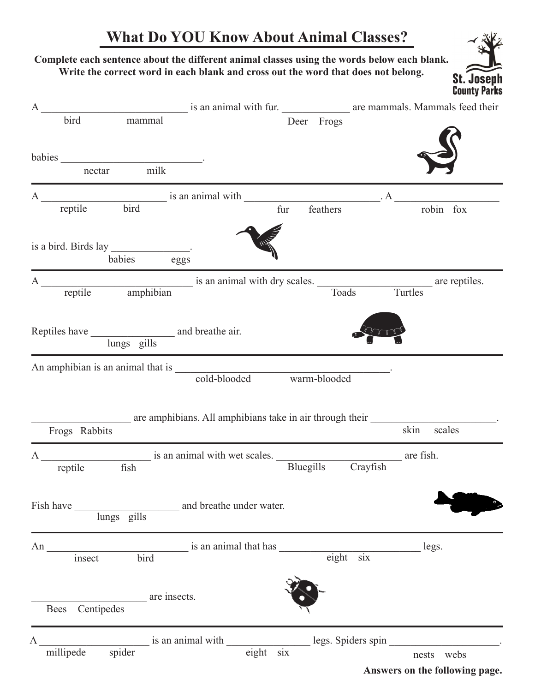## **What Do YOU Know About Animal Classes?**

St. Jo

#### **Complete each sentence about the different animal classes using the words below each blank. Write the correct word in each blank and cross out the word that does not belong.**

| $\mathbf{A}$ |                    |                                                 |                          |                                                                            |                    |                    | <b>County Parks</b><br>is an animal with fur. The area mammals. Mammals feed their  |
|--------------|--------------------|-------------------------------------------------|--------------------------|----------------------------------------------------------------------------|--------------------|--------------------|-------------------------------------------------------------------------------------|
|              | bird               | mammal                                          |                          |                                                                            | Deer Frogs         |                    |                                                                                     |
|              |                    | babies nectar milk                              |                          |                                                                            |                    |                    |                                                                                     |
|              |                    |                                                 |                          |                                                                            |                    |                    |                                                                                     |
|              | reptile            | bird                                            |                          | fur                                                                        | feathers           |                    | robin fox                                                                           |
|              |                    | is a bird. Birds lay _______________.<br>babies | eggs                     |                                                                            |                    |                    |                                                                                     |
|              |                    |                                                 |                          |                                                                            |                    |                    | A<br>reptile amphibian is an animal with dry scales.<br>Toads Turtles are reptiles. |
|              |                    | lungs gills                                     |                          |                                                                            |                    |                    |                                                                                     |
|              |                    |                                                 |                          | An amphibian is an animal that is cold-blooded warm-blooded                |                    |                    |                                                                                     |
|              | Frogs Rabbits      |                                                 |                          | are amphibians. All amphibians take in air through their                   |                    | skin               | scales                                                                              |
| A            | reptile            |                                                 |                          | reptile fish is an animal with wet scales.<br>Bluegills Crayfish are fish. |                    |                    |                                                                                     |
|              | Fish have          | lungs gills                                     | and breathe under water. |                                                                            |                    |                    |                                                                                     |
| An           | insect             | bird                                            | is an animal that has    |                                                                            | $\overline{$ eight | six                | legs.                                                                               |
|              | Centipedes<br>Bees | are insects.                                    |                          |                                                                            |                    |                    |                                                                                     |
| Α            |                    | spider                                          | is an animal with        |                                                                            |                    | legs. Spiders spin |                                                                                     |
|              | millipede          |                                                 |                          | eighth<br>six                                                              |                    |                    | nests webs<br>Answers on the following page.                                        |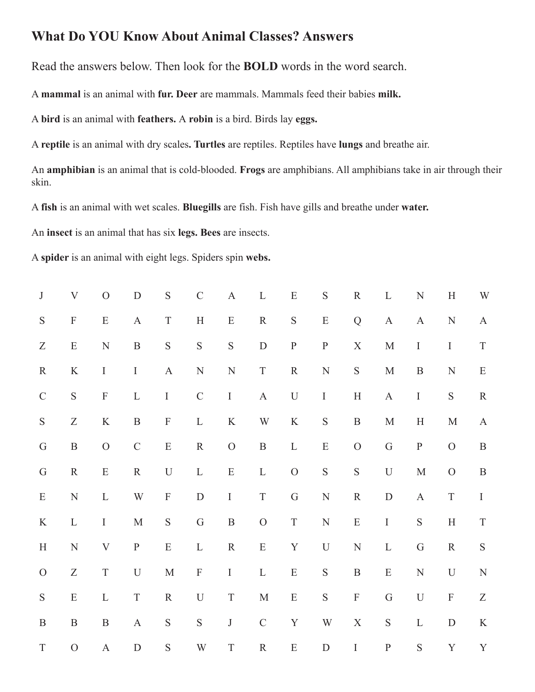#### **What Do YOU Know About Animal Classes? Answers**

Read the answers below. Then look for the **BOLD** words in the word search.

A **mammal** is an animal with **fur. Deer** are mammals. Mammals feed their babies **milk.**

A **bird** is an animal with **feathers.** A **robin** is a bird. Birds lay **eggs.**

A **reptile** is an animal with dry scales**. Turtles** are reptiles. Reptiles have **lungs** and breathe air.

An **amphibian** is an animal that is cold-blooded. **Frogs** are amphibians. All amphibians take in air through their skin.

A **fish** is an animal with wet scales. **Bluegills** are fish. Fish have gills and breathe under **water.**

An **insect** is an animal that has six **legs. Bees** are insects.

A **spider** is an animal with eight legs. Spiders spin **webs.**

| $\bf J$          | $\ensuremath{\mathbf{V}}$     | $\overline{O}$            | $\mathbf D$             | ${\mathbf S}$             | $\mathbf C$             | $\mathbf A$   | $\mathbf L$             | ${\bf E}$      | ${\mathbf S}$           | ${\bf R}$                 | $\mathbf L$   | $\mathbf N$               | $\mathbf H$               | W                             |
|------------------|-------------------------------|---------------------------|-------------------------|---------------------------|-------------------------|---------------|-------------------------|----------------|-------------------------|---------------------------|---------------|---------------------------|---------------------------|-------------------------------|
| ${\mathbf S}$    | $\mathbf F$                   | ${\bf E}$                 | $\mathbf A$             | $\mathbf T$               | $\, {\rm H}$            | ${\bf E}$     | ${\bf R}$               | ${\mathbf S}$  | ${\bf E}$               | $\bf Q$                   | $\mathbf{A}$  | $\mathbf{A}$              | ${\bf N}$                 | $\mathbf A$                   |
| $\boldsymbol{Z}$ | ${\bf E}$                     | ${\bf N}$                 | $\, {\bf B}$            | ${\mathbf S}$             | $\mathbf S$             | ${\mathbf S}$ | ${\bf D}$               | $\, {\bf P}$   | ${\bf P}$               | $\mathbf X$               | $\mathbf M$   | $\rm I$                   | $\rm I$                   | $\rm T$                       |
| ${\bf R}$        | $\rm K$                       | $\rm I$                   | $\rm I$                 | $\boldsymbol{\mathsf{A}}$ | ${\bf N}$               | ${\bf N}$     | $\mathbf T$             | ${\bf R}$      | ${\bf N}$               | ${\mathbf S}$             | $\mathbf M$   | $\, {\bf B}$              | $\mathbf N$               | ${\bf E}$                     |
| $\mathsf C$      | ${\mathbf S}$                 | $\mathbf F$               | $\mathbf L$             | $\rm I$                   | $\mathsf C$             | $\bf I$       | $\mathbf A$             | $\mathbf U$    | $\rm I$                 | $\, {\rm H}$              | $\mathbf{A}$  | $\rm I$                   | $\mathbf S$               | ${\bf R}$                     |
| ${\mathbf S}$    | $\ensuremath{\textnormal{Z}}$ | $\rm K$                   | $\, {\bf B}$            | $\mathbf F$               | $\mathbf L$             | $\rm K$       | $\ensuremath{\text{W}}$ | $\rm K$        | $\mathbf S$             | $\, {\bf B}$              | $\mathbf M$   | $\boldsymbol{\mathrm{H}}$ | $\mathbf M$               | $\boldsymbol{\mathsf{A}}$     |
| ${\bf G}$        | $\, {\bf B}$                  | $\overline{O}$            | $\mathsf C$             | ${\bf E}$                 | ${\bf R}$               | $\mathcal{O}$ | $\, {\bf B}$            | $\mathbf L$    | ${\bf E}$               | ${\cal O}$                | $\mathbf G$   | ${\bf P}$                 | ${\cal O}$                | $\, {\bf B}$                  |
| ${\bf G}$        | ${\bf R}$                     | ${\bf E}$                 | ${\bf R}$               | $\mathbf U$               | $\mathbf L$             | ${\bf E}$     | $\mathbf L$             | $\overline{O}$ | ${\mathbf S}$           | $\mathbf S$               | $\mathbf U$   | $\mathbf M$               | ${\cal O}$                | $\, {\bf B}$                  |
| ${\bf E}$        | ${\bf N}$                     | $\mathbf L$               | $\ensuremath{\text{W}}$ | $\mathbf F$               | ${\bf D}$               | $\rm I$       | $\mathbf T$             | ${\bf G}$      | ${\bf N}$               | ${\bf R}$                 | ${\bf D}$     | $\mathbf A$               | $\mathbf T$               | $\rm I$                       |
| $\rm K$          | $\mathbf L$                   | $\rm I$                   | $\mathbf M$             | ${\mathbf S}$             | $\mathsf G$             | $\, {\bf B}$  | ${\cal O}$              | $\mathcal T$   | $\ensuremath{\text{N}}$ | ${\bf E}$                 | $\rm I$       | $\mathbf S$               | $\, {\rm H}$              | $\mathcal T$                  |
| $\, {\rm H}$     | ${\bf N}$                     | $\ensuremath{\mathbf{V}}$ | ${\bf P}$               | ${\bf E}$                 | $\mathbf L$             | ${\bf R}$     | ${\bf E}$               | $\mathbf Y$    | $\mathbf U$             | $\ensuremath{\text{N}}$   | $\mathbf L$   | ${\bf G}$                 | ${\bf R}$                 | ${\mathbf S}$                 |
| ${\cal O}$       | $\ensuremath{\mathbf{Z}}$     | $\mathbf T$               | $\mathbf U$             | $\mathbf M$               | $\mathbf F$             | $\bf I$       | $\mathbf L$             | ${\bf E}$      | ${\mathbf S}$           | $\, {\bf B}$              | ${\bf E}$     | ${\bf N}$                 | $\mathbf U$               | ${\bf N}$                     |
| ${\mathbf S}$    | ${\bf E}$                     | $\mathbf L$               | $\mathcal T$            | ${\bf R}$                 | $\mathbf U$             | $\mathbf T$   | $\mathbf M$             | ${\bf E}$      | ${\mathbf S}$           | $\boldsymbol{\mathrm{F}}$ | G             | $\mathbf U$               | $\boldsymbol{\mathrm{F}}$ | $\ensuremath{\textnormal{Z}}$ |
| $\, {\bf B}$     | $\, {\bf B}$                  | $\, {\bf B}$              | $\mathbf A$             | ${\mathbf S}$             | ${\mathbf S}$           | $\bf J$       | $\mathcal{C}$           | $\mathbf Y$    | W                       | $\mathbf X$               | ${\mathbf S}$ | $\mathbf L$               | ${\bf D}$                 | $\rm K$                       |
| $\mathbf T$      | $\mathcal{O}$                 | $\mathbf A$               | $\mathbf D$             | ${\mathbf S}$             | $\ensuremath{\text{W}}$ | $\mathcal T$  | ${\bf R}$               | ${\bf E}$      | $\mathbf D$             | $\bf I$                   | ${\bf P}$     | $\mathbf S$               | $\mathbf Y$               | $\mathbf Y$                   |